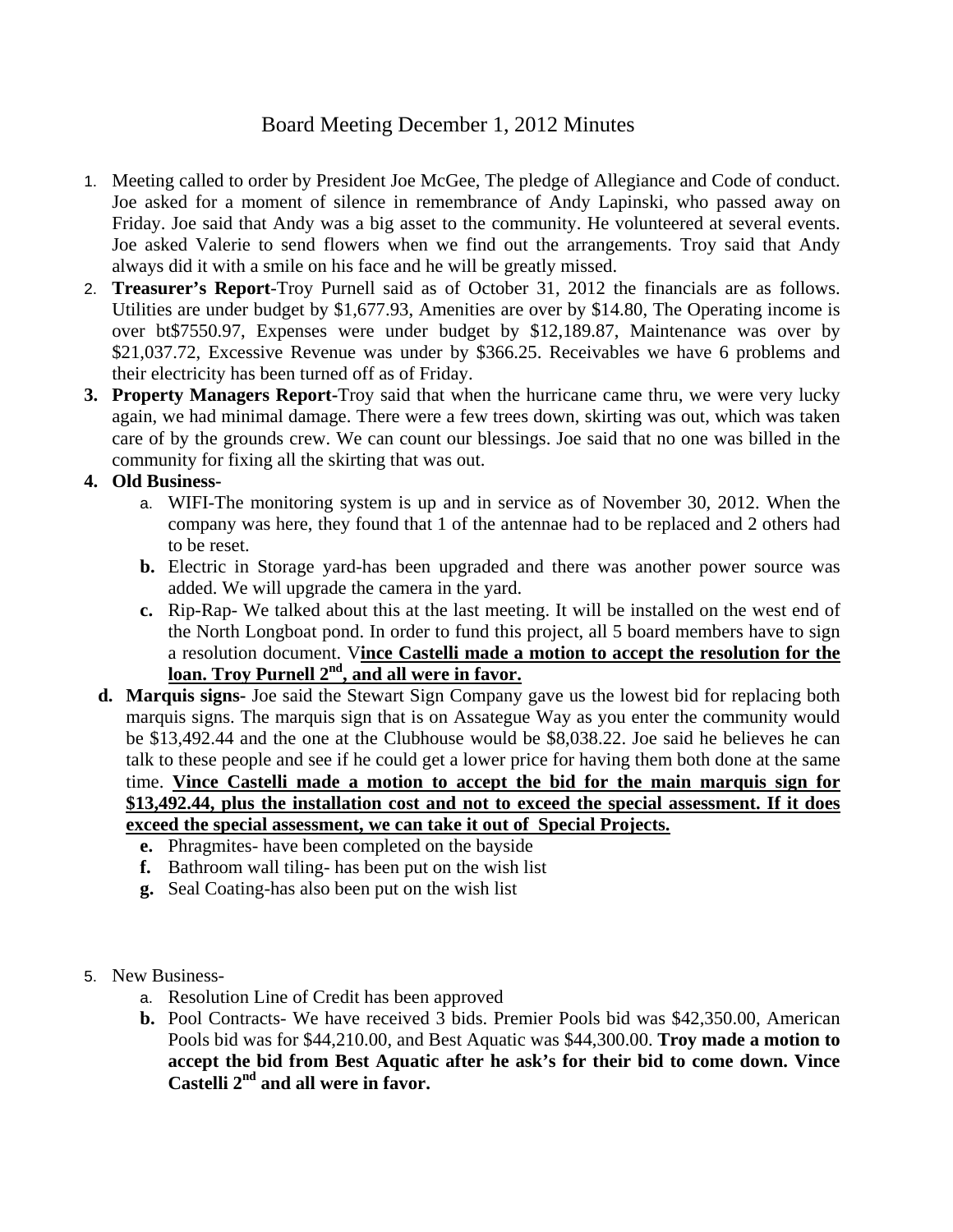## Board Meeting December 1, 2012 Minutes

- 1. Meeting called to order by President Joe McGee, The pledge of Allegiance and Code of conduct. Joe asked for a moment of silence in remembrance of Andy Lapinski, who passed away on Friday. Joe said that Andy was a big asset to the community. He volunteered at several events. Joe asked Valerie to send flowers when we find out the arrangements. Troy said that Andy always did it with a smile on his face and he will be greatly missed.
- 2. **Treasurer's Report**-Troy Purnell said as of October 31, 2012 the financials are as follows. Utilities are under budget by \$1,677.93, Amenities are over by \$14.80, The Operating income is over bt\$7550.97, Expenses were under budget by \$12,189.87, Maintenance was over by \$21,037.72, Excessive Revenue was under by \$366.25. Receivables we have 6 problems and their electricity has been turned off as of Friday.
- **3. Property Managers Report-**Troy said that when the hurricane came thru, we were very lucky again, we had minimal damage. There were a few trees down, skirting was out, which was taken care of by the grounds crew. We can count our blessings. Joe said that no one was billed in the community for fixing all the skirting that was out.

## **4. Old Business-**

- a. WIFI-The monitoring system is up and in service as of November 30, 2012. When the company was here, they found that 1 of the antennae had to be replaced and 2 others had to be reset.
- **b.** Electric in Storage yard-has been upgraded and there was another power source was added. We will upgrade the camera in the yard.
- **c.** Rip-Rap- We talked about this at the last meeting. It will be installed on the west end of the North Longboat pond. In order to fund this project, all 5 board members have to sign a resolution document. V**ince Castelli made a motion to accept the resolution for the**  loan. Troy Purnell 2<sup>nd</sup>, and all were in favor.
- **d. Marquis signs-** Joe said the Stewart Sign Company gave us the lowest bid for replacing both marquis signs. The marquis sign that is on Assategue Way as you enter the community would be \$13,492.44 and the one at the Clubhouse would be \$8,038.22. Joe said he believes he can talk to these people and see if he could get a lower price for having them both done at the same time. **Vince Castelli made a motion to accept the bid for the main marquis sign for \$13,492.44, plus the installation cost and not to exceed the special assessment. If it does exceed the special assessment, we can take it out of Special Projects.**
	- **e.** Phragmites- have been completed on the bayside
	- **f.** Bathroom wall tiling- has been put on the wish list
	- **g.** Seal Coating-has also been put on the wish list
- 5. New Business
	- a. Resolution Line of Credit has been approved
	- **b.** Pool Contracts- We have received 3 bids. Premier Pools bid was \$42,350.00, American Pools bid was for \$44,210.00, and Best Aquatic was \$44,300.00. **Troy made a motion to accept the bid from Best Aquatic after he ask's for their bid to come down. Vince Castelli 2nd and all were in favor.**